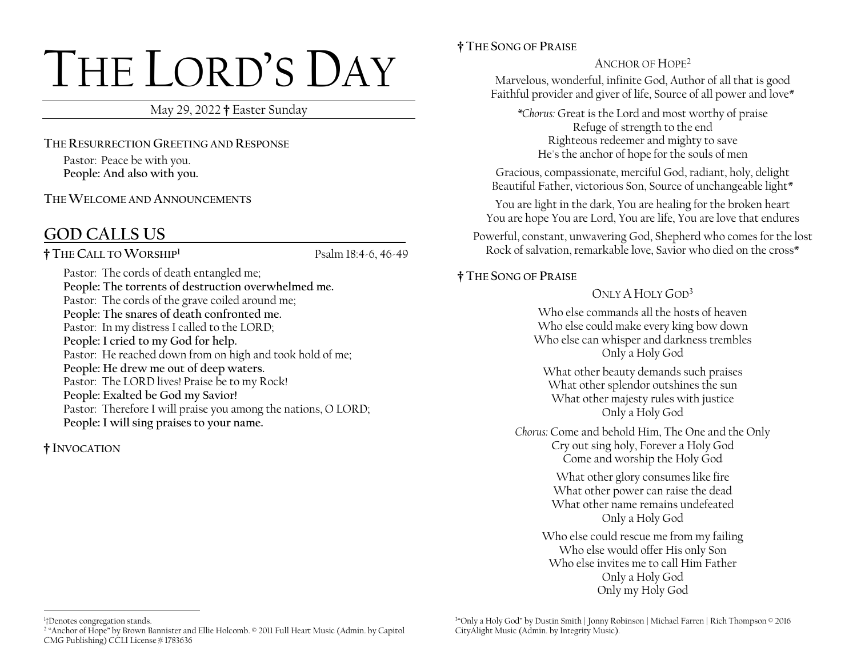# THE LORD'S DAY

May 29, 2022 **†** Easter Sunday

**THE RESURRECTION GREETING AND RESPONSE**

Pastor: Peace be with you. **People: And also with you.** 

**THE WELCOME AND ANNOUNCEMENTS**

# **GOD CALLS US \_**

**† THE CALL TO WORSHIP<sup>1</sup>**

Psalm 18:4-6, 46-49

Pastor: The cords of death entangled me; **People: The torrents of destruction overwhelmed me.**  Pastor: The cords of the grave coiled around me; **People: The snares of death confronted me.**  Pastor: In my distress I called to the LORD; **People: I cried to my God for help.**  Pastor: He reached down from on high and took hold of me; **People: He drew me out of deep waters.**  Pastor: The LORD lives! Praise be to my Rock! **People: Exalted be God my Savior!** Pastor: Therefore I will praise you among the nations, O LORD; **People: I will sing praises to your name.**

**† INVOCATION**

## **† THE SONG OF PRAISE**

## ANCHOR OF HOPE<sup>2</sup>

Marvelous, wonderful, infinite God, Author of all that is good Faithful provider and giver of life, Source of all power and love\*

*\*Chorus:* Great is the Lord and most worthy of praise Refuge of strength to the end Righteous redeemer and mighty to save He's the anchor of hope for the souls of men

Gracious, compassionate, merciful God, radiant, holy, delight Beautiful Father, victorious Son, Source of unchangeable light\*

You are light in the dark, You are healing for the broken heart You are hope You are Lord, You are life, You are love that endures

Powerful, constant, unwavering God, Shepherd who comes for the lost Rock of salvation, remarkable love, Savior who died on the cross\*

## **† THE SONG OF PRAISE**

 $ONIY A HOIY GOD<sup>3</sup>$ 

Who else commands all the hosts of heaven Who else could make every king bow down Who else can whisper and darkness trembles Only a Holy God

What other beauty demands such praises What other splendor outshines the sun What other majesty rules with justice Only a Holy God

*Chorus:* Come and behold Him, The One and the Only Cry out sing holy, Forever a Holy God Come and worship the Holy God

> What other glory consumes like fire What other power can raise the dead What other name remains undefeated Only a Holy God

Who else could rescue me from my failing Who else would offer His only Son Who else invites me to call Him Father Only a Holy God Only my Holy God

3 "Only a Holy God" by Dustin Smith | Jonny Robinson | Michael Farren | Rich Thompson © 2016 CityAlight Music (Admin. by Integrity Music).

<sup>1</sup> †Denotes congregation stands.

<sup>2</sup> "Anchor of Hope" by Brown Bannister and Ellie Holcomb. © 2011 Full Heart Music (Admin. by Capitol CMG Publishing) CCLI License # 1783636